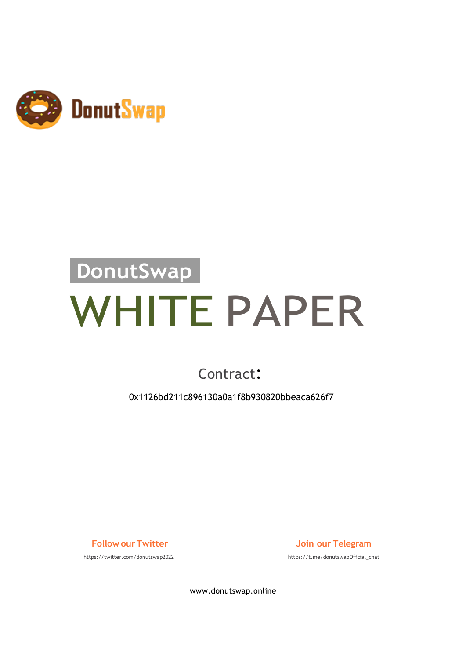

# **DonutSwap** WHITE PAPER

#### Contract:

0x1126bd211c896130a0a1f8b930820bbeaca626f7

https://twitter.com/donutswap2022 https://t.me/donutswapOffcial\_chat

**Follow ourTwitter Join our Telegram**

www.donutswap.online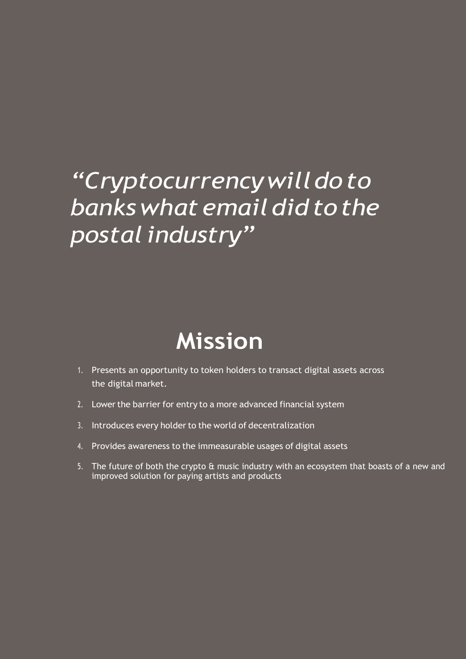#### *"Cryptocurrencywilldoto bankswhat email didto the postal industry"*

#### **Mission**

- 1. Presents an opportunity to token holders to transact digital assets across the digital market.
- 2. Lower the barrier for entry to a more advanced financial system
- 3. Introduces every holder to the world of decentralization
- 4. Provides awareness to the immeasurable usages of digital assets
- 5. The future of both the crypto & music industry with an ecosystem that boasts of a new and improved solution for paying artists and products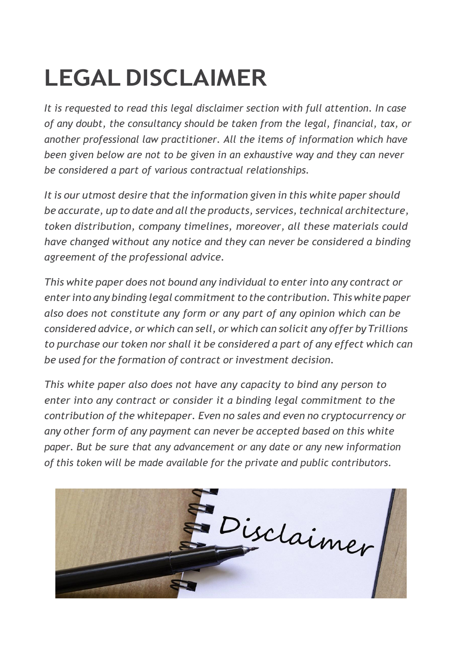## **LEGALDISCLAIMER**

*It is requested to read this legal disclaimer section with full attention. In case of any doubt, the consultancy should be taken from the legal, financial, tax, or another professional law practitioner. All the items of information which have been given below are not to be given in an exhaustive way and they can never be considered a part of various contractual relationships.*

*It is our utmost desire that the information given in this white paper should be accurate, up to date and all the products, services, technical architecture, token distribution, company timelines, moreover, all these materials could have changed without any notice and they can never be considered a binding agreement of the professional advice.*

*This white paper does not bound any individual to enter into any contract or enter into any binding legal commitment to the contribution. This white paper also does not constitute any form or any part of any opinion which can be considered advice, or which can sell, or which can solicit any offer by Trillions to purchase our token nor shall it be considered a part of any effect which can be used for the formation of contract or investment decision.*

*This white paper also does not have any capacity to bind any person to enter into any contract or consider it a binding legal commitment to the contribution of the whitepaper. Even no sales and even no cryptocurrency or any other form of any payment can never be accepted based on this white paper. But be sure that any advancement or any date or any new information of this token will be made available for the private and public contributors.*

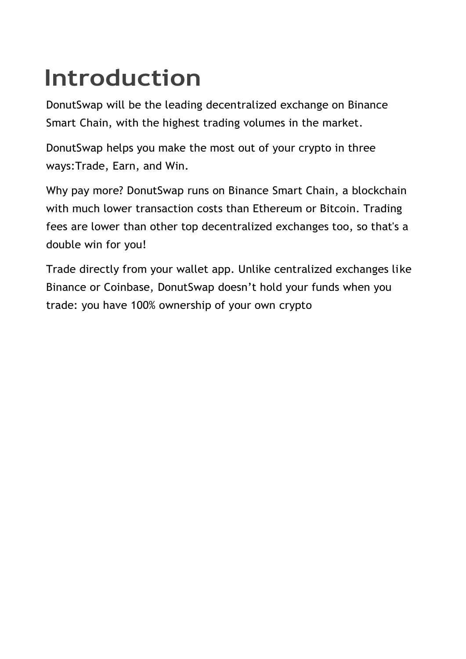### **Introduction**

DonutSwap will be the leading decentralized exchange on Binance Smart Chain, with the highest trading volumes in the market.

DonutSwap helps you make the most out of your crypto in three ways:Trade, Earn, and Win.

Why pay more? DonutSwap runs on Binance Smart Chain, a blockchain with much lower transaction costs than Ethereum or Bitcoin. Trading fees are lower than other top decentralized exchanges too, so that's a double win for you!

Trade directly from your wallet app. Unlike centralized exchanges like Binance or Coinbase, DonutSwap doesn't hold your funds when you trade: you have 100% ownership of your own crypto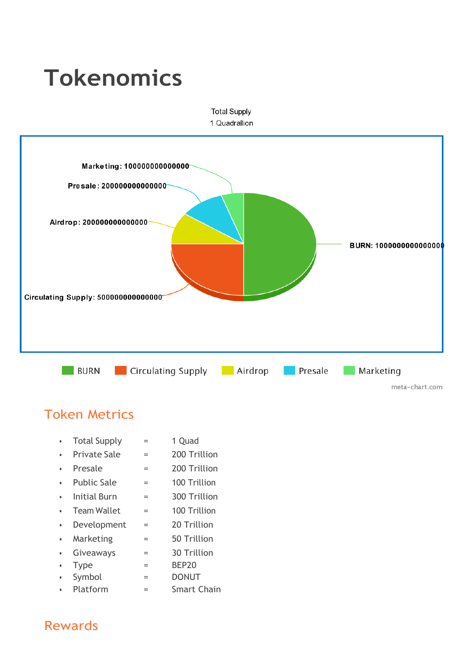#### **Tokenomics Total Supply** 1 Quadrallion Marketing: 100000000000000 Presale: 200000000000000 Airdrop: 200000000000000 **BURN: 1000000000000000** Circulating Supply: 500000000000000 **BURN** Circulating Supply **Circulating** Supply **Presale Marketing** meta-chart.com

#### Token Metrics

- Total Supply = 1 Quad
- Private Sale = 200 Trillion
- Presale = 200 Trillion
- Public Sale = 100 Trillion
- Initial Burn = 300 Trillion
- Team Wallet = 100 Trillion
- Development = 20 Trillion
- Marketing = 50 Trillion
- Giveaways = 30 Trillion
- $\cdot$  Type  $=$  BEP20
- Symbol = DONUT
- Platform = Smart Chain

#### Rewards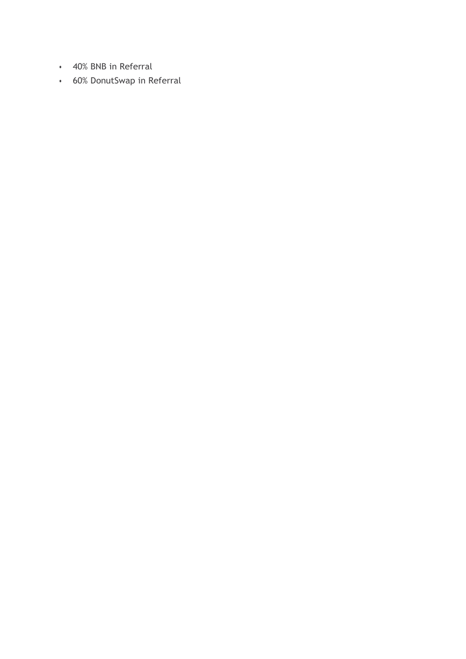- 40% BNB in Referral
- 60% DonutSwap in Referral